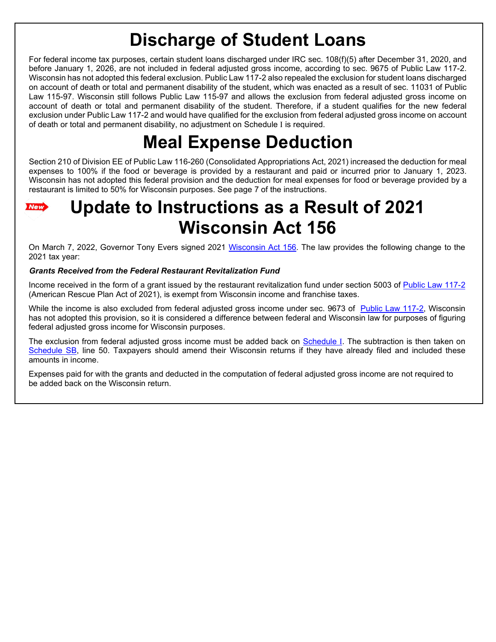# **Discharge of Student Loans**

For federal income tax purposes, certain student loans discharged under IRC sec. 108(f)(5) after December 31, 2020, and before January 1, 2026, are not included in federal adjusted gross income, according to sec. 9675 of Public Law 117-2. Wisconsin has not adopted this federal exclusion. Public Law 117-2 also repealed the exclusion for student loans discharged on account of death or total and permanent disability of the student, which was enacted as a result of sec. 11031 of Public Law 115-97. Wisconsin still follows Public Law 115-97 and allows the exclusion from federal adjusted gross income on account of death or total and permanent disability of the student. Therefore, if a student qualifies for the new federal exclusion under Public Law 117-2 and would have qualified for the exclusion from federal adjusted gross income on account of death or total and permanent disability, no adjustment on Schedule I is required.

# **Meal Expense Deduction**

Section 210 of Division EE of Public Law 116-260 (Consolidated Appropriations Act, 2021) increased the deduction for meal expenses to 100% if the food or beverage is provided by a restaurant and paid or incurred prior to January 1, 2023. Wisconsin has not adopted this federal provision and the deduction for meal expenses for food or beverage provided by a restaurant is limited to 50% for Wisconsin purposes. See page 7 of the instructions.

# **Update to Instructions as a Result of 2021** New **Wisconsin Act 156**

On March 7, 2022, Governor Tony Evers signed 2021 [Wisconsin Act 156.](https://docs.legis.wisconsin.gov/2021/related/acts/156) The law provides the following change to the 2021 tax year:

# *Grants Received from the Federal Restaurant Revitalization Fund*

Income received in the form of a grant issued by the restaurant revitalization fund under section 5003 of [Public Law 117-2](https://www.congress.gov/117/plaws/publ2/PLAW-117publ2.pdf) (American Rescue Plan Act of 2021), is exempt from Wisconsin income and franchise taxes.

While the income is also excluded from federal adjusted gross income under sec. 9673 of [Public Law 117-2,](https://www.congress.gov/117/plaws/publ2/PLAW-117publ2.pdf) Wisconsin has not adopted this provision, so it is considered a difference between federal and Wisconsin law for purposes of figuring federal adjusted gross income for Wisconsin purposes.

The exclusion from federal adjusted gross income must be added back on [Schedule](https://www.revenue.wi.gov/TaxForms2021/2021-ScheduleIf.pdf) [I](https://www.revenue.wi.gov/TaxForms2021/2021-ScheduleIf.pdf). The subtraction is then taken on [Schedule SB,](https://www.revenue.wi.gov/TaxForms2021/2021-ScheduleSBf.pdf) line 50. Taxpayers should amend their Wisconsin returns if they have already filed and included these amounts in income.

Expenses paid for with the grants and deducted in the computation of federal adjusted gross income are not required to be added back on the Wisconsin return.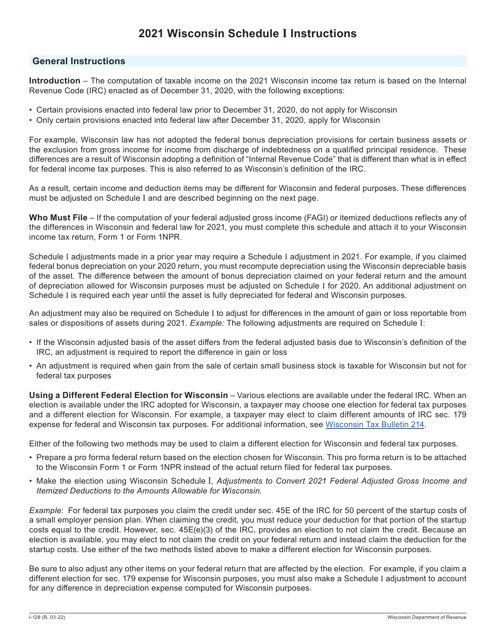# **2021 Wisconsin Schedule I Instructions**

## **General Instructions**

**Introduction** – The computation of taxable income on the 2021 Wisconsin income tax return is based on the Internal Revenue Code (IRC) enacted as of December 31, 2020, with the following exceptions:

- Certain provisions enacted into federal law prior to December 31, 2020, do not apply for Wisconsin
- Only certain provisions enacted into federal law after December 31, 2020, apply for Wisconsin

For example, Wisconsin law has not adopted the federal bonus depreciation provisions for certain business assets or the exclusion from gross income for income from discharge of indebtedness on a qualified principal residence. These differences are a result of Wisconsin adopting a definition of "Internal Revenue Code" that is different than what is in effect for federal income tax purposes. This is also referred to as Wisconsin's definition of the IRC.

As a result, certain income and deduction items may be different for Wisconsin and federal purposes. These differences must be adjusted on Schedule I and are described beginning on the next page.

**Who Must File** – If the computation of your federal adjusted gross income (FAGI) or itemized deductions reflects any of the differences in Wisconsin and federal law for 2021, you must complete this schedule and attach it to your Wisconsin income tax return, Form 1 or Form 1NPR.

Schedule I adjustments made in a prior year may require a Schedule I adjustment in 2021. For example, if you claimed federal bonus depreciation on your 2020 return, you must recompute depreciation using the Wisconsin depreciable basis of the asset. The difference between the amount of bonus depreciation claimed on your federal return and the amount of depreciation allowed for Wisconsin purposes must be adjusted on Schedule I for 2020. An additional adjustment on Schedule I is required each year until the asset is fully depreciated for federal and Wisconsin purposes.

An adjustment may also be required on Schedule I to adjust for differences in the amount of gain or loss reportable from sales or dispositions of assets during 2021. *Example:* The following adjustments are required on Schedule I:

- If the Wisconsin adjusted basis of the asset differs from the federal adjusted basis due to Wisconsin's definition of the IRC, an adjustment is required to report the difference in gain or loss
- An adjustment is required when gain from the sale of certain small business stock is taxable for Wisconsin but not for federal tax purposes

**Using a Different Federal Election for Wisconsin** – Various elections are available under the federal IRC. When an election is available under the IRC adopted for Wisconsin, a taxpayer may choose one election for federal tax purposes and a different election for Wisconsin. For example, a taxpayer may elect to claim different amounts of IRC sec. 179 expense for federal and Wisconsin tax purposes. For additional information, see [Wisconsin Tax Bulletin 214](https://www.revenue.wi.gov/WisconsinTaxBulletin/214-07-21-WTB.pdf#page=8).

Either of the following two methods may be used to claim a different election for Wisconsin and federal tax purposes.

- Prepare a pro forma federal return based on the election chosen for Wisconsin. This pro forma return is to be attached to the Wisconsin Form 1 or Form 1NPR instead of the actual return filed for federal tax purposes.
- Make the election using Wisconsin Schedule I, *Adjustments to Convert 2021 Federal Adjusted Gross Income and Itemized Deductions to the Amounts Allowable for Wisconsin*.

*Example:* For federal tax purposes you claim the credit under sec. 45E of the IRC for 50 percent of the startup costs of a small employer pension plan. When claiming the credit, you must reduce your deduction for that portion of the startup costs equal to the credit. However, sec. 45E(e)(3) of the IRC, provides an election to not claim the credit. Because an election is available, you may elect to not claim the credit on your federal return and instead claim the deduction for the startup costs. Use either of the two methods listed above to make a different election for Wisconsin purposes.

Be sure to also adjust any other items on your federal return that are affected by the election. For example, if you claim a different election for sec. 179 expense for Wisconsin purposes, you must also make a Schedule I adjustment to account for any difference in depreciation expense computed for Wisconsin purposes.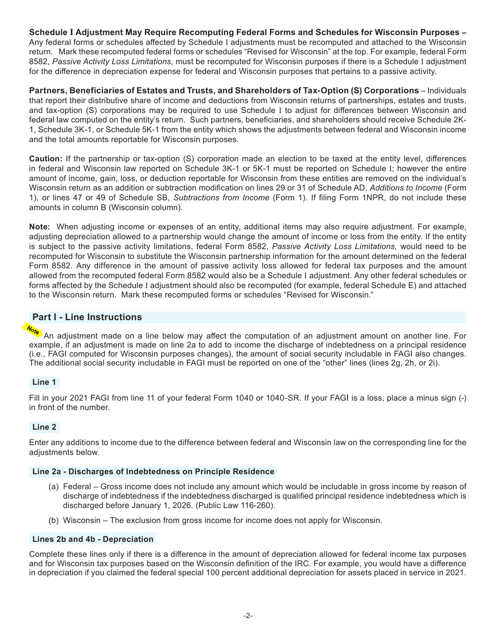**Schedule I Adjustment May Require Recomputing Federal Forms and Schedules for Wisconsin Purposes –**  Any federal forms or schedules affected by Schedule I adjustments must be recomputed and attached to the Wisconsin return. Mark these recomputed federal forms or schedules "Revised for Wisconsin" at the top. For example, federal Form 8582, *Passive Activity Loss Limitations*, must be recomputed for Wisconsin purposes if there is a Schedule I adjustment for the difference in depreciation expense for federal and Wisconsin purposes that pertains to a passive activity.

**Partners, Beneficiaries of Estates and Trusts, and Shareholders of Tax-Option (S) Corporations** – Individuals that report their distributive share of income and deductions from Wisconsin returns of partnerships, estates and trusts, and tax-option (S) corporations may be required to use Schedule I to adjust for differences between Wisconsin and federal law computed on the entity's return. Such partners, beneficiaries, and shareholders should receive Schedule 2K-1, Schedule 3K-1, or Schedule 5K-1 from the entity which shows the adjustments between federal and Wisconsin income and the total amounts reportable for Wisconsin purposes.

**Caution:** If the partnership or tax-option (S) corporation made an election to be taxed at the entity level, differences in federal and Wisconsin law reported on Schedule 3K-1 or 5K-1 must be reported on Schedule I; however the entire amount of income, gain, loss, or deduction reportable for Wisconsin from these entities are removed on the individual's Wisconsin return as an addition or subtraction modification on lines 29 or 31 of Schedule AD, *Additions to Income* (Form 1), or lines 47 or 49 of Schedule SB, *Subtractions from Income* (Form 1). If filing Form 1NPR, do not include these amounts in column B (Wisconsin column).

**Note:** When adjusting income or expenses of an entity, additional items may also require adjustment. For example, adjusting depreciation allowed to a partnership would change the amount of income or loss from the entity. If the entity is subject to the passive activity limitations, federal Form 8582, *Passive Activity Loss Limitations,* would need to be recomputed for Wisconsin to substitute the Wisconsin partnership information for the amount determined on the federal Form 8582. Any difference in the amount of passive activity loss allowed for federal tax purposes and the amount allowed from the recomputed federal Form 8582 would also be a Schedule I adjustment. Any other federal schedules or forms affected by the Schedule I adjustment should also be recomputed (for example, federal Schedule E) and attached to the Wisconsin return. Mark these recomputed forms or schedules "Revised for Wisconsin."

# **Part I - Line Instructions**

An adjustment made on a line below may affect the computation of an adjustment amount on another line. For example, if an adjustment is made on line 2a to add to income the discharge of indebtedness on a principal residence (i.e., FAGI computed for Wisconsin purposes changes), the amount of social security includable in FAGI also changes. The additional social security includable in FAGI must be reported on one of the "other" lines (lines 2g, 2h, or 2i).

#### **Line 1**

Fill in your 2021 FAGI from line 11 of your federal Form 1040 or 1040-SR. If your FAGI is a loss, place a minus sign (-) in front of the number.

#### **Line 2**

Enter any additions to income due to the difference between federal and Wisconsin law on the corresponding line for the adjustments below.

#### **Line 2a - Discharges of Indebtedness on Principle Residence**

- (a) Federal Gross income does not include any amount which would be includable in gross income by reason of discharge of indebtedness if the indebtedness discharged is qualified principal residence indebtedness which is discharged before January 1, 2026. (Public Law 116-260).
- (b) Wisconsin The exclusion from gross income for income does not apply for Wisconsin.

#### **Lines 2b and 4b - Depreciation**

Complete these lines only if there is a difference in the amount of depreciation allowed for federal income tax purposes and for Wisconsin tax purposes based on the Wisconsin definition of the IRC. For example, you would have a difference in depreciation if you claimed the federal special 100 percent additional depreciation for assets placed in service in 2021.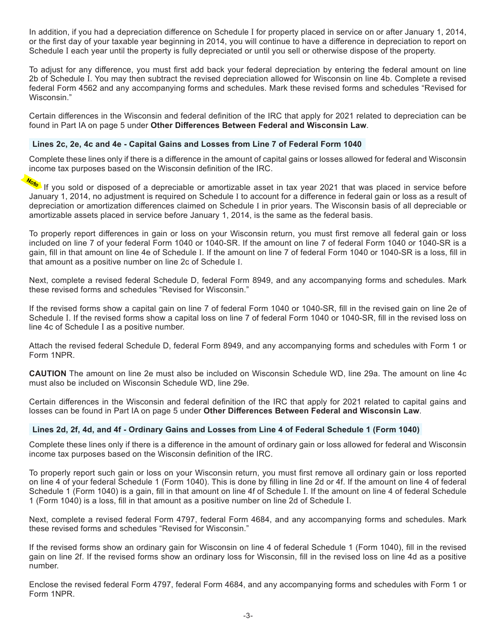In addition, if you had a depreciation difference on Schedule I for property placed in service on or after January 1, 2014, or the first day of your taxable year beginning in 2014, you will continue to have a difference in depreciation to report on Schedule I each year until the property is fully depreciated or until you sell or otherwise dispose of the property.

To adjust for any difference, you must first add back your federal depreciation by entering the federal amount on line 2b of Schedule I. You may then subtract the revised depreciation allowed for Wisconsin on line 4b. Complete a revised federal Form 4562 and any accompanying forms and schedules. Mark these revised forms and schedules "Revised for Wisconsin."

Certain differences in the Wisconsin and federal definition of the IRC that apply for 2021 related to depreciation can be found in Part IA on page 5 under **Other Differences Between Federal and Wisconsin Law**.

#### **Lines 2c, 2e, 4c and 4e - Capital Gains and Losses from Line 7 of Federal Form 1040**

Complete these lines only if there is a difference in the amount of capital gains or losses allowed for federal and Wisconsin income tax purposes based on the Wisconsin definition of the IRC.

If you sold or disposed of a depreciable or amortizable asset in tax year 2021 that was placed in service before January 1, 2014, no adjustment is required on Schedule I to account for a difference in federal gain or loss as a result of depreciation or amortization differences claimed on Schedule I in prior years. The Wisconsin basis of all depreciable or amortizable assets placed in service before January 1, 2014, is the same as the federal basis.

To properly report differences in gain or loss on your Wisconsin return, you must first remove all federal gain or loss included on line 7 of your federal Form 1040 or 1040-SR. If the amount on line 7 of federal Form 1040 or 1040-SR is a gain, fill in that amount on line 4e of Schedule I. If the amount on line 7 of federal Form 1040 or 1040-SR is a loss, fill in that amount as a positive number on line 2c of Schedule I.

Next, complete a revised federal Schedule D, federal Form 8949, and any accompanying forms and schedules. Mark these revised forms and schedules "Revised for Wisconsin."

If the revised forms show a capital gain on line 7 of federal Form 1040 or 1040-SR, fill in the revised gain on line 2e of Schedule I. If the revised forms show a capital loss on line 7 of federal Form 1040 or 1040-SR, fill in the revised loss on line 4c of Schedule I as a positive number.

Attach the revised federal Schedule D, federal Form 8949, and any accompanying forms and schedules with Form 1 or Form 1NPR.

**CAUTION** The amount on line 2e must also be included on Wisconsin Schedule WD, line 29a. The amount on line 4c must also be included on Wisconsin Schedule WD, line 29e.

Certain differences in the Wisconsin and federal definition of the IRC that apply for 2021 related to capital gains and losses can be found in Part IA on page 5 under **Other Differences Between Federal and Wisconsin Law**.

#### **Lines 2d, 2f, 4d, and 4f - Ordinary Gains and Losses from Line 4 of Federal Schedule 1 (Form 1040)**

Complete these lines only if there is a difference in the amount of ordinary gain or loss allowed for federal and Wisconsin income tax purposes based on the Wisconsin definition of the IRC.

To properly report such gain or loss on your Wisconsin return, you must first remove all ordinary gain or loss reported on line 4 of your federal Schedule 1 (Form 1040). This is done by filling in line 2d or 4f. If the amount on line 4 of federal Schedule 1 (Form 1040) is a gain, fill in that amount on line 4f of Schedule I. If the amount on line 4 of federal Schedule 1 (Form 1040) is a loss, fill in that amount as a positive number on line 2d of Schedule I.

Next, complete a revised federal Form 4797, federal Form 4684, and any accompanying forms and schedules. Mark these revised forms and schedules "Revised for Wisconsin."

If the revised forms show an ordinary gain for Wisconsin on line 4 of federal Schedule 1 (Form 1040), fill in the revised gain on line 2f. If the revised forms show an ordinary loss for Wisconsin, fill in the revised loss on line 4d as a positive number.

Enclose the revised federal Form 4797, federal Form 4684, and any accompanying forms and schedules with Form 1 or Form 1NPR.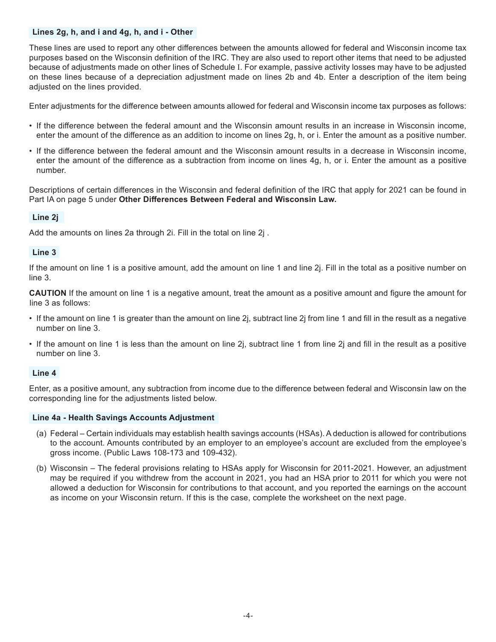#### **Lines 2g, h, and i and 4g, h, and i - Other**

These lines are used to report any other differences between the amounts allowed for federal and Wisconsin income tax purposes based on the Wisconsin definition of the IRC. They are also used to report other items that need to be adjusted because of adjustments made on other lines of Schedule I. For example, passive activity losses may have to be adjusted on these lines because of a depreciation adjustment made on lines 2b and 4b. Enter a description of the item being adjusted on the lines provided.

Enter adjustments for the difference between amounts allowed for federal and Wisconsin income tax purposes as follows:

- If the difference between the federal amount and the Wisconsin amount results in an increase in Wisconsin income, enter the amount of the difference as an addition to income on lines 2g, h, or i. Enter the amount as a positive number.
- If the difference between the federal amount and the Wisconsin amount results in a decrease in Wisconsin income, enter the amount of the difference as a subtraction from income on lines 4g, h, or i. Enter the amount as a positive number.

Descriptions of certain differences in the Wisconsin and federal definition of the IRC that apply for 2021 can be found in Part IA on page 5 under **Other Differences Between Federal and Wisconsin Law.**

### **Line 2j**

Add the amounts on lines 2a through 2i. Fill in the total on line 2j .

#### **Line 3**

If the amount on line 1 is a positive amount, add the amount on line 1 and line 2j. Fill in the total as a positive number on line 3.

**CAUTION** If the amount on line 1 is a negative amount, treat the amount as a positive amount and figure the amount for line 3 as follows:

- If the amount on line 1 is greater than the amount on line 2j, subtract line 2j from line 1 and fill in the result as a negative number on line 3.
- If the amount on line 1 is less than the amount on line 2j, subtract line 1 from line 2j and fill in the result as a positive number on line 3.

#### **Line 4**

Enter, as a positive amount, any subtraction from income due to the difference between federal and Wisconsin law on the corresponding line for the adjustments listed below.

#### **Line 4a - Health Savings Accounts Adjustment**

- (a) Federal Certain individuals may establish health savings accounts (HSAs). A deduction is allowed for contributions to the account. Amounts contributed by an employer to an employee's account are excluded from the employee's gross income. (Public Laws 108-173 and 109-432).
- (b) Wisconsin The federal provisions relating to HSAs apply for Wisconsin for 2011-2021. However, an adjustment may be required if you withdrew from the account in 2021, you had an HSA prior to 2011 for which you were not allowed a deduction for Wisconsin for contributions to that account, and you reported the earnings on the account as income on your Wisconsin return. If this is the case, complete the worksheet on the next page.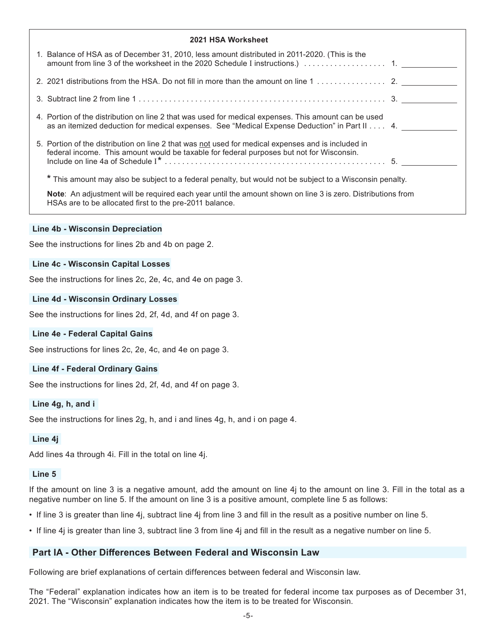| <b>2021 HSA Worksheet</b>                                                                                                                                                                                    |  |
|--------------------------------------------------------------------------------------------------------------------------------------------------------------------------------------------------------------|--|
| 1. Balance of HSA as of December 31, 2010, less amount distributed in 2011-2020. (This is the                                                                                                                |  |
|                                                                                                                                                                                                              |  |
|                                                                                                                                                                                                              |  |
| 4. Portion of the distribution on line 2 that was used for medical expenses. This amount can be used<br>as an itemized deduction for medical expenses. See "Medical Expense Deduction" in Part II $\dots$ 4. |  |
| 5. Portion of the distribution on line 2 that was not used for medical expenses and is included in<br>federal income. This amount would be taxable for federal purposes but not for Wisconsin.               |  |
| * This amount may also be subject to a federal penalty, but would not be subject to a Wisconsin penalty.                                                                                                     |  |
| Note: An adjustment will be required each year until the amount shown on line 3 is zero. Distributions from<br>HSAs are to be allocated first to the pre-2011 balance.                                       |  |

#### **Line 4b - Wisconsin Depreciation**

See the instructions for lines 2b and 4b on page 2.

#### **Line 4c - Wisconsin Capital Losses**

See the instructions for lines 2c, 2e, 4c, and 4e on page 3.

#### **Line 4d - Wisconsin Ordinary Losses**

See the instructions for lines 2d, 2f, 4d, and 4f on page 3.

#### **Line 4e - Federal Capital Gains**

See instructions for lines 2c, 2e, 4c, and 4e on page 3.

#### **Line 4f - Federal Ordinary Gains**

See the instructions for lines 2d, 2f, 4d, and 4f on page 3.

#### **Line 4g, h, and i**

See the instructions for lines 2g, h, and i and lines 4g, h, and i on page 4.

#### **Line 4j**

Add lines 4a through 4i. Fill in the total on line 4j.

#### **Line 5**

If the amount on line 3 is a negative amount, add the amount on line 4j to the amount on line 3. Fill in the total as a negative number on line 5. If the amount on line 3 is a positive amount, complete line 5 as follows:

- If line 3 is greater than line 4j, subtract line 4j from line 3 and fill in the result as a positive number on line 5.
- If line 4j is greater than line 3, subtract line 3 from line 4j and fill in the result as a negative number on line 5.

#### **Part IA - Other Differences Between Federal and Wisconsin Law**

Following are brief explanations of certain differences between federal and Wisconsin law.

The "Federal" explanation indicates how an item is to be treated for federal income tax purposes as of December 31, 2021. The "Wisconsin" explanation indicates how the item is to be treated for Wisconsin.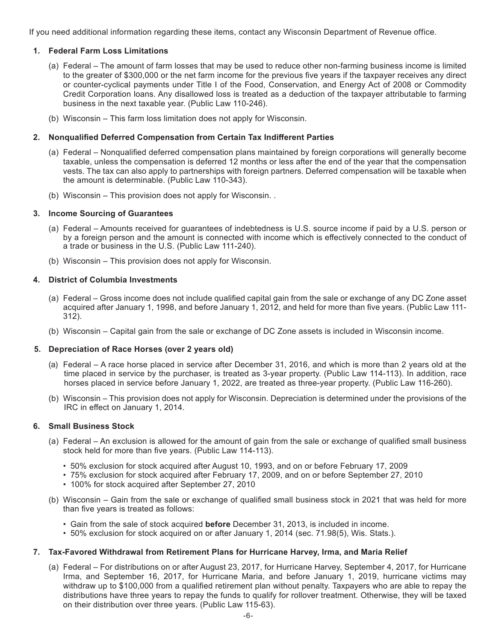If you need additional information regarding these items, contact any Wisconsin Department of Revenue office.

#### **1. Federal Farm Loss Limitations**

- (a) Federal The amount of farm losses that may be used to reduce other non-farming business income is limited to the greater of \$300,000 or the net farm income for the previous five years if the taxpayer receives any direct or counter-cyclical payments under Title I of the Food, Conservation, and Energy Act of 2008 or Commodity Credit Corporation loans. Any disallowed loss is treated as a deduction of the taxpayer attributable to farming business in the next taxable year. (Public Law 110-246).
- (b) Wisconsin This farm loss limitation does not apply for Wisconsin.

#### **2. Nonqualified Deferred Compensation from Certain Tax Indifferent Parties**

- (a) Federal Nonqualified deferred compensation plans maintained by foreign corporations will generally become taxable, unless the compensation is deferred 12 months or less after the end of the year that the compensation vests. The tax can also apply to partnerships with foreign partners. Deferred compensation will be taxable when the amount is determinable. (Public Law 110-343).
- (b) Wisconsin This provision does not apply for Wisconsin. .

#### **3. Income Sourcing of Guarantees**

- (a) Federal Amounts received for guarantees of indebtedness is U.S. source income if paid by a U.S. person or by a foreign person and the amount is connected with income which is effectively connected to the conduct of a trade or business in the U.S. (Public Law 111-240).
- (b) Wisconsin This provision does not apply for Wisconsin.

#### **4. District of Columbia Investments**

- (a) Federal Gross income does not include qualified capital gain from the sale or exchange of any DC Zone asset acquired after January 1, 1998, and before January 1, 2012, and held for more than five years. (Public Law 111- 312).
- (b) Wisconsin Capital gain from the sale or exchange of DC Zone assets is included in Wisconsin income.

#### **5. Depreciation of Race Horses (over 2 years old)**

- (a) Federal A race horse placed in service after December 31, 2016, and which is more than 2 years old at the time placed in service by the purchaser, is treated as 3-year property. (Public Law 114-113). In addition, race horses placed in service before January 1, 2022, are treated as three-year property. (Public Law 116-260).
- (b) Wisconsin This provision does not apply for Wisconsin. Depreciation is determined under the provisions of the IRC in effect on January 1, 2014.

#### **6. Small Business Stock**

- (a) Federal An exclusion is allowed for the amount of gain from the sale or exchange of qualified small business stock held for more than five years. (Public Law 114-113).
	- 50% exclusion for stock acquired after August 10, 1993, and on or before February 17, 2009
	- 75% exclusion for stock acquired after February 17, 2009, and on or before September 27, 2010
	- 100% for stock acquired after September 27, 2010
- (b) Wisconsin Gain from the sale or exchange of qualified small business stock in 2021 that was held for more than five years is treated as follows:
	- Gain from the sale of stock acquired **before** December 31, 2013, is included in income.
	- 50% exclusion for stock acquired on or after January 1, 2014 (sec. 71.98(5), Wis. Stats.).

#### **7. Tax-Favored Withdrawal from Retirement Plans for Hurricane Harvey, Irma, and Maria Relief**

(a) Federal – For distributions on or after August 23, 2017, for Hurricane Harvey, September 4, 2017, for Hurricane Irma, and September 16, 2017, for Hurricane Maria, and before January 1, 2019, hurricane victims may withdraw up to \$100,000 from a qualified retirement plan without penalty. Taxpayers who are able to repay the distributions have three years to repay the funds to qualify for rollover treatment. Otherwise, they will be taxed on their distribution over three years. (Public Law 115-63).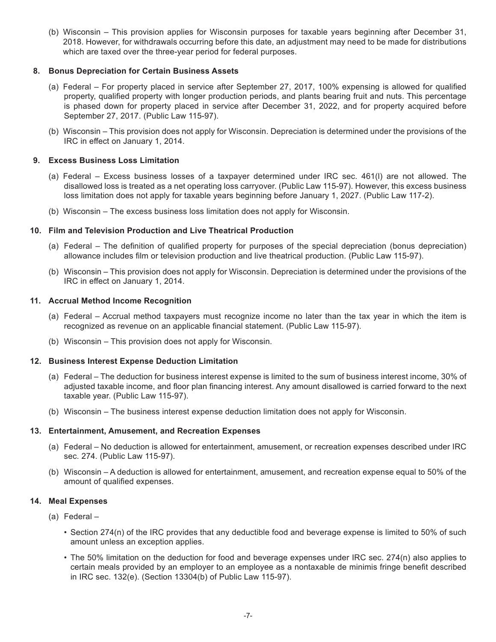(b) Wisconsin – This provision applies for Wisconsin purposes for taxable years beginning after December 31, 2018. However, for withdrawals occurring before this date, an adjustment may need to be made for distributions which are taxed over the three-year period for federal purposes.

#### **8. Bonus Depreciation for Certain Business Assets**

- (a) Federal For property placed in service after September 27, 2017, 100% expensing is allowed for qualified property, qualified property with longer production periods, and plants bearing fruit and nuts. This percentage is phased down for property placed in service after December 31, 2022, and for property acquired before September 27, 2017. (Public Law 115-97).
- (b) Wisconsin This provision does not apply for Wisconsin. Depreciation is determined under the provisions of the IRC in effect on January 1, 2014.

#### **9. Excess Business Loss Limitation**

- (a) Federal Excess business losses of a taxpayer determined under IRC sec. 461(l) are not allowed. The disallowed loss is treated as a net operating loss carryover. (Public Law 115-97). However, this excess business loss limitation does not apply for taxable years beginning before January 1, 2027. (Public Law 117-2).
- (b) Wisconsin The excess business loss limitation does not apply for Wisconsin.

#### **10. Film and Television Production and Live Theatrical Production**

- (a) Federal The definition of qualified property for purposes of the special depreciation (bonus depreciation) allowance includes film or television production and live theatrical production. (Public Law 115-97).
- (b) Wisconsin This provision does not apply for Wisconsin. Depreciation is determined under the provisions of the IRC in effect on January 1, 2014.

#### **11. Accrual Method Income Recognition**

- (a) Federal Accrual method taxpayers must recognize income no later than the tax year in which the item is recognized as revenue on an applicable financial statement. (Public Law 115-97).
- (b) Wisconsin This provision does not apply for Wisconsin.

#### **12. Business Interest Expense Deduction Limitation**

- (a) Federal The deduction for business interest expense is limited to the sum of business interest income, 30% of adjusted taxable income, and floor plan financing interest. Any amount disallowed is carried forward to the next taxable year. (Public Law 115-97).
- (b) Wisconsin The business interest expense deduction limitation does not apply for Wisconsin.

#### **13. Entertainment, Amusement, and Recreation Expenses**

- (a) Federal No deduction is allowed for entertainment, amusement, or recreation expenses described under IRC sec. 274. (Public Law 115-97).
- (b) Wisconsin A deduction is allowed for entertainment, amusement, and recreation expense equal to 50% of the amount of qualified expenses.

#### **14. Meal Expenses**

- (a) Federal
	- Section 274(n) of the IRC provides that any deductible food and beverage expense is limited to 50% of such amount unless an exception applies.
	- The 50% limitation on the deduction for food and beverage expenses under IRC sec. 274(n) also applies to certain meals provided by an employer to an employee as a nontaxable de minimis fringe benefit described in IRC sec. 132(e). (Section 13304(b) of Public Law 115-97).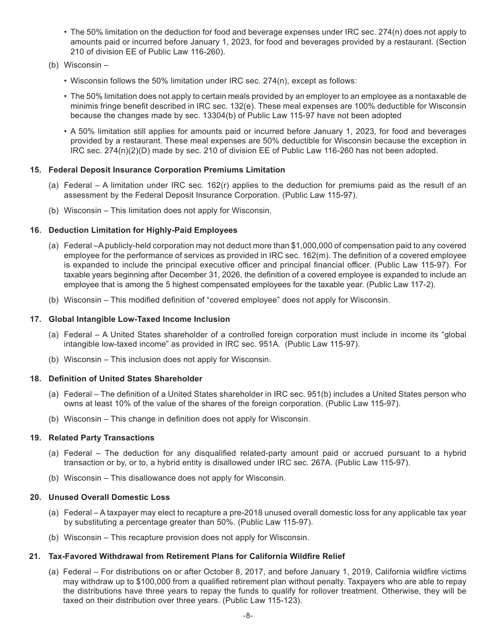- The 50% limitation on the deduction for food and beverage expenses under IRC sec. 274(n) does not apply to amounts paid or incurred before January 1, 2023, for food and beverages provided by a restaurant. (Section 210 of division EE of Public Law 116-260).
- (b) Wisconsin
	- Wisconsin follows the 50% limitation under IRC sec. 274(n), except as follows:
	- The 50% limitation does not apply to certain meals provided by an employer to an employee as a nontaxable de minimis fringe benefit described in IRC sec. 132(e). These meal expenses are 100% deductible for Wisconsin because the changes made by sec. 13304(b) of Public Law 115-97 have not been adopted
	- A 50% limitation still applies for amounts paid or incurred before January 1, 2023, for food and beverages provided by a restaurant. These meal expenses are 50% deductible for Wisconsin because the exception in IRC sec. 274(n)(2)(D) made by sec. 210 of division EE of Public Law 116-260 has not been adopted.

#### **15. Federal Deposit Insurance Corporation Premiums Limitation**

- (a) Federal A limitation under IRC sec. 162(r) applies to the deduction for premiums paid as the result of an assessment by the Federal Deposit Insurance Corporation. (Public Law 115-97).
- (b) Wisconsin This limitation does not apply for Wisconsin.

#### **16. Deduction Limitation for Highly-Paid Employees**

- (a) Federal –A publicly-held corporation may not deduct more than \$1,000,000 of compensation paid to any covered employee for the performance of services as provided in IRC sec. 162(m). The definition of a covered employee is expanded to include the principal executive officer and principal financial officer. (Public Law 115-97). For taxable years beginning after December 31, 2026, the definition of a covered employee is expanded to include an employee that is among the 5 highest compensated employees for the taxable year. (Public Law 117-2).
- (b) Wisconsin This modified definition of "covered employee" does not apply for Wisconsin.

#### **17. Global Intangible Low-Taxed Income Inclusion**

- (a) Federal A United States shareholder of a controlled foreign corporation must include in income its "global intangible low-taxed income" as provided in IRC sec. 951A. (Public Law 115-97).
- (b) Wisconsin This inclusion does not apply for Wisconsin.

#### **18. Definition of United States Shareholder**

- (a) Federal The definition of a United States shareholder in IRC sec. 951(b) includes a United States person who owns at least 10% of the value of the shares of the foreign corporation. (Public Law 115-97).
- (b) Wisconsin This change in definition does not apply for Wisconsin.

#### **19. Related Party Transactions**

- (a) Federal The deduction for any disqualified related-party amount paid or accrued pursuant to a hybrid transaction or by, or to, a hybrid entity is disallowed under IRC sec. 267A. (Public Law 115-97).
- (b) Wisconsin This disallowance does not apply for Wisconsin.

#### **20. Unused Overall Domestic Loss**

- (a) Federal A taxpayer may elect to recapture a pre-2018 unused overall domestic loss for any applicable tax year by substituting a percentage greater than 50%. (Public Law 115-97).
- (b) Wisconsin This recapture provision does not apply for Wisconsin.

#### **21. Tax-Favored Withdrawal from Retirement Plans for California Wildfire Relief**

(a) Federal – For distributions on or after October 8, 2017, and before January 1, 2019, California wildfire victims may withdraw up to \$100,000 from a qualified retirement plan without penalty. Taxpayers who are able to repay the distributions have three years to repay the funds to qualify for rollover treatment. Otherwise, they will be taxed on their distribution over three years. (Public Law 115-123).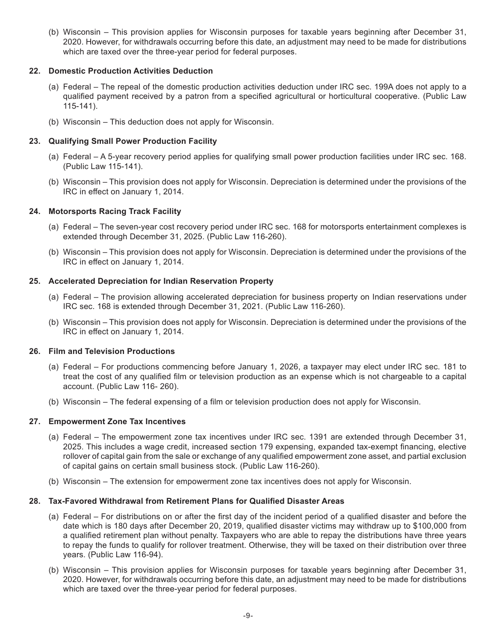(b) Wisconsin – This provision applies for Wisconsin purposes for taxable years beginning after December 31, 2020. However, for withdrawals occurring before this date, an adjustment may need to be made for distributions which are taxed over the three-year period for federal purposes.

#### **22. Domestic Production Activities Deduction**

- (a) Federal The repeal of the domestic production activities deduction under IRC sec. 199A does not apply to a qualified payment received by a patron from a specified agricultural or horticultural cooperative. (Public Law 115-141).
- (b) Wisconsin This deduction does not apply for Wisconsin.

#### **23. Qualifying Small Power Production Facility**

- (a) Federal A 5-year recovery period applies for qualifying small power production facilities under IRC sec. 168. (Public Law 115-141).
- (b) Wisconsin This provision does not apply for Wisconsin. Depreciation is determined under the provisions of the IRC in effect on January 1, 2014.

#### **24. Motorsports Racing Track Facility**

- (a) Federal The seven-year cost recovery period under IRC sec. 168 for motorsports entertainment complexes is extended through December 31, 2025. (Public Law 116-260).
- (b) Wisconsin This provision does not apply for Wisconsin. Depreciation is determined under the provisions of the IRC in effect on January 1, 2014.

#### **25. Accelerated Depreciation for Indian Reservation Property**

- (a) Federal The provision allowing accelerated depreciation for business property on Indian reservations under IRC sec. 168 is extended through December 31, 2021. (Public Law 116-260).
- (b) Wisconsin This provision does not apply for Wisconsin. Depreciation is determined under the provisions of the IRC in effect on January 1, 2014.

#### **26. Film and Television Productions**

- (a) Federal For productions commencing before January 1, 2026, a taxpayer may elect under IRC sec. 181 to treat the cost of any qualified film or television production as an expense which is not chargeable to a capital account. (Public Law 116- 260).
- (b) Wisconsin The federal expensing of a film or television production does not apply for Wisconsin.

#### **27. Empowerment Zone Tax Incentives**

- (a) Federal The empowerment zone tax incentives under IRC sec. 1391 are extended through December 31, 2025. This includes a wage credit, increased section 179 expensing, expanded tax-exempt financing, elective rollover of capital gain from the sale or exchange of any qualified empowerment zone asset, and partial exclusion of capital gains on certain small business stock. (Public Law 116-260).
- (b) Wisconsin The extension for empowerment zone tax incentives does not apply for Wisconsin.

#### **28. Tax-Favored Withdrawal from Retirement Plans for Qualified Disaster Areas**

- (a) Federal For distributions on or after the first day of the incident period of a qualified disaster and before the date which is 180 days after December 20, 2019, qualified disaster victims may withdraw up to \$100,000 from a qualified retirement plan without penalty. Taxpayers who are able to repay the distributions have three years to repay the funds to qualify for rollover treatment. Otherwise, they will be taxed on their distribution over three years. (Public Law 116-94).
- (b) Wisconsin This provision applies for Wisconsin purposes for taxable years beginning after December 31, 2020. However, for withdrawals occurring before this date, an adjustment may need to be made for distributions which are taxed over the three-year period for federal purposes.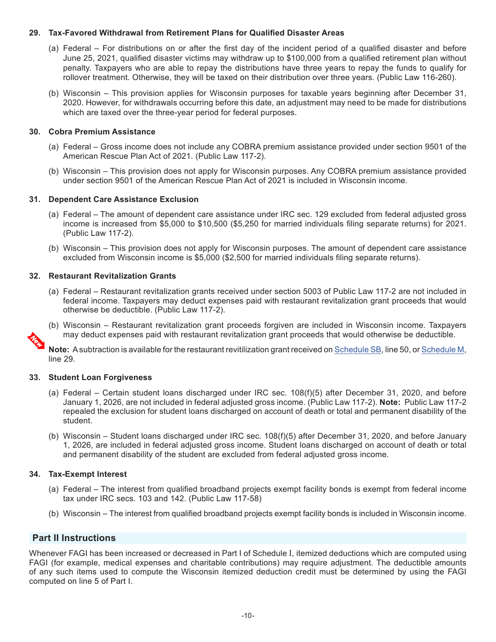#### **29. Tax-Favored Withdrawal from Retirement Plans for Qualified Disaster Areas**

- (a) Federal For distributions on or after the first day of the incident period of a qualified disaster and before June 25, 2021, qualified disaster victims may withdraw up to \$100,000 from a qualified retirement plan without penalty. Taxpayers who are able to repay the distributions have three years to repay the funds to qualify for rollover treatment. Otherwise, they will be taxed on their distribution over three years. (Public Law 116-260).
- (b) Wisconsin This provision applies for Wisconsin purposes for taxable years beginning after December 31, 2020. However, for withdrawals occurring before this date, an adjustment may need to be made for distributions which are taxed over the three-year period for federal purposes.

#### **30. Cobra Premium Assistance**

- (a) Federal Gross income does not include any COBRA premium assistance provided under section 9501 of the American Rescue Plan Act of 2021. (Public Law 117-2).
- (b) Wisconsin This provision does not apply for Wisconsin purposes. Any COBRA premium assistance provided under section 9501 of the American Rescue Plan Act of 2021 is included in Wisconsin income.

#### **31. Dependent Care Assistance Exclusion**

- (a) Federal The amount of dependent care assistance under IRC sec. 129 excluded from federal adjusted gross income is increased from \$5,000 to \$10,500 (\$5,250 for married individuals filing separate returns) for 2021. (Public Law 117-2).
- (b) Wisconsin This provision does not apply for Wisconsin purposes. The amount of dependent care assistance excluded from Wisconsin income is \$5,000 (\$2,500 for married individuals filing separate returns).

#### **32. Restaurant Revitalization Grants**

- (a) Federal Restaurant revitalization grants received under section 5003 of Public Law 117-2 are not included in federal income. Taxpayers may deduct expenses paid with restaurant revitalization grant proceeds that would otherwise be deductible. (Public Law 117-2).
- (b) Wisconsin Restaurant revitalization grant proceeds forgiven are included in Wisconsin income. Taxpayers may deduct expenses paid with restaurant revitalization grant proceeds that would otherwise be deductible.

**Note:** A subtraction is available for the restaurant revitilization grant received on [Schedule SB](https://www.revenue.wi.gov/TaxForms2021/2021-ScheduleSBf.pdf), line 50, or [Schedule M](https://www.revenue.wi.gov/TaxForms2021/2021-ScheduleMf.pdf), line 29.

#### **33. Student Loan Forgiveness**

- (a) Federal Certain student loans discharged under IRC sec. 108(f)(5) after December 31, 2020, and before January 1, 2026, are not included in federal adjusted gross income. (Public Law 117-2). **Note:** Public Law 117-2 repealed the exclusion for student loans discharged on account of death or total and permanent disability of the student.
- (b) Wisconsin Student loans discharged under IRC sec. 108(f)(5) after December 31, 2020, and before January 1, 2026, are included in federal adjusted gross income. Student loans discharged on account of death or total and permanent disability of the student are excluded from federal adjusted gross income.

#### **34. Tax-Exempt Interest**

- (a) Federal The interest from qualified broadband projects exempt facility bonds is exempt from federal income tax under IRC secs. 103 and 142. (Public Law 117-58)
- (b) Wisconsin The interest from qualified broadband projects exempt facility bonds is included in Wisconsin income.

#### **Part II Instructions**

Whenever FAGI has been increased or decreased in Part I of Schedule I, itemized deductions which are computed using FAGI (for example, medical expenses and charitable contributions) may require adjustment. The deductible amounts of any such items used to compute the Wisconsin itemized deduction credit must be determined by using the FAGI computed on line 5 of Part I.